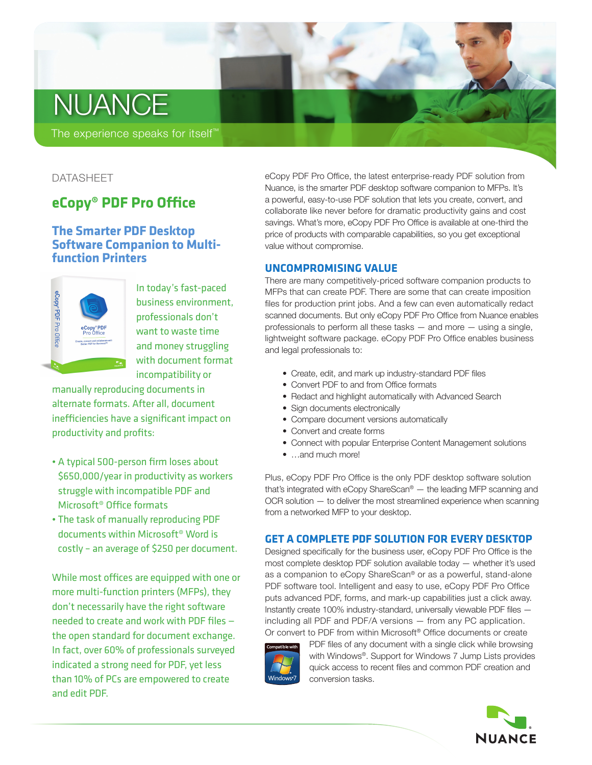# **NUANCE**

The experience speaks for itself™

# DATASHEET

# **eCopy® PDF Pro Office**

# **The Smarter PDF Desktop Software Companion to Multifunction Printers**



In today's fast-paced business environment, professionals don't want to waste time and money struggling with document format incompatibility or

manually reproducing documents in alternate formats. After all, document inefficiencies have a significant impact on productivity and profits:

- A typical 500-person firm loses about \$650,000/year in productivity as workers struggle with incompatible PDF and Microsoft® Office formats
- The task of manually reproducing PDF documents within Microsoft® Word is costly – an average of \$250 per document.

While most offices are equipped with one or more multi-function printers (MFPs), they don't necessarily have the right software needed to create and work with PDF files the open standard for document exchange. In fact, over 60% of professionals surveyed indicated a strong need for PDF, yet less than 10% of PCs are empowered to create and edit PDF.

eCopy PDF Pro Office, the latest enterprise-ready PDF solution from Nuance, is the smarter PDF desktop software companion to MFPs. It's a powerful, easy-to-use PDF solution that lets you create, convert, and collaborate like never before for dramatic productivity gains and cost savings. What's more, eCopy PDF Pro Office is available at one-third the price of products with comparable capabilities, so you get exceptional value without compromise.

## **UNCOMPROMISING VALUE**

There are many competitively-priced software companion products to MFPs that can create PDF. There are some that can create imposition files for production print jobs. And a few can even automatically redact scanned documents. But only eCopy PDF Pro Office from Nuance enables professionals to perform all these tasks — and more — using a single, lightweight software package. eCopy PDF Pro Office enables business and legal professionals to:

- Create, edit, and mark up industry-standard PDF files
- Convert PDF to and from Office formats
- Redact and highlight automatically with Advanced Search
- Sign documents electronically
- Compare document versions automatically
- Convert and create forms
- Connect with popular Enterprise Content Management solutions
- …and much more!

Plus, eCopy PDF Pro Office is the only PDF desktop software solution that's integrated with eCopy ShareScan® — the leading MFP scanning and OCR solution — to deliver the most streamlined experience when scanning from a networked MFP to your desktop.

# **GET A COMPLETE PDF SOLUTION FOR EVERY DESKTOP**

Designed specifically for the business user, eCopy PDF Pro Office is the most complete desktop PDF solution available today — whether it's used as a companion to eCopy ShareScan® or as a powerful, stand-alone PDF software tool. Intelligent and easy to use, eCopy PDF Pro Office puts advanced PDF, forms, and mark-up capabilities just a click away. Instantly create 100% industry-standard, universally viewable PDF files including all PDF and PDF/A versions — from any PC application. Or convert to PDF from within Microsoft® Office documents or create



PDF files of any document with a single click while browsing with Windows®. Support for Windows 7 Jump Lists provides quick access to recent files and common PDF creation and conversion tasks.